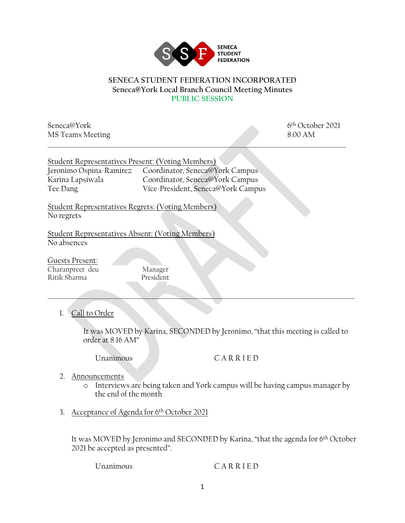

## **SENECA STUDENT FEDERATION INCORPORATED Seneca@York Local Branch Council Meeting Minutes PUBLIC SESSION**

\_\_\_\_\_\_\_\_\_\_\_\_\_\_\_\_\_\_\_\_\_\_\_\_\_\_\_\_\_\_\_\_\_\_\_\_\_\_\_\_\_\_\_\_\_\_\_\_\_\_\_\_\_\_\_\_\_\_\_\_\_\_\_\_\_\_\_\_\_\_\_\_\_\_\_\_\_\_\_\_\_\_\_\_\_\_\_\_\_\_\_\_\_\_\_\_\_\_\_\_

Seneca@York 6<sup>th</sup> October 2021 MS Teams Meeting 8:00 AM

| Student Representatives Present: (Voting Members) |                                                         |
|---------------------------------------------------|---------------------------------------------------------|
|                                                   | Jeronimo Ospina-Ramirez Coordinator, Seneca@York Campus |
| Karina Lapsiwala                                  | Coordinator, Seneca@York Campus                         |
| Tee Dang                                          | Vice-President, Seneca@York Campus                      |

Student Representatives Regrets: (Voting Members) No regrets

Student Representatives Absent: (Voting Members) No absences

Guests Present: Charanpreet deu Manager Ritik Sharma President

1. Call to Order

It was MOVED by Karina, SECONDED by Jeronimo, "that this meeting is called to order at 8:16 AM"

\_\_\_\_\_\_\_\_\_\_\_\_\_\_\_\_\_\_\_\_\_\_\_\_\_\_\_\_\_\_\_\_\_\_\_\_\_\_\_\_\_\_\_\_\_\_\_\_\_\_\_\_\_\_\_\_\_\_\_\_\_\_\_\_\_\_\_\_\_\_\_\_\_\_\_\_\_\_\_\_\_\_\_\_\_\_\_\_\_\_\_\_\_\_\_\_\_\_\_\_\_\_\_

Unanimous C A R R I E D

- 2. Announcements
	- o Interviews are being taken and York campus will be having campus manager by the end of the month
- 3. Acceptance of Agenda for 6th October 2021

It was MOVED by Jeronimo and SECONDED by Karina, "that the agenda for 6th October 2021 be accepted as presented".

## Unanimous C A R R I E D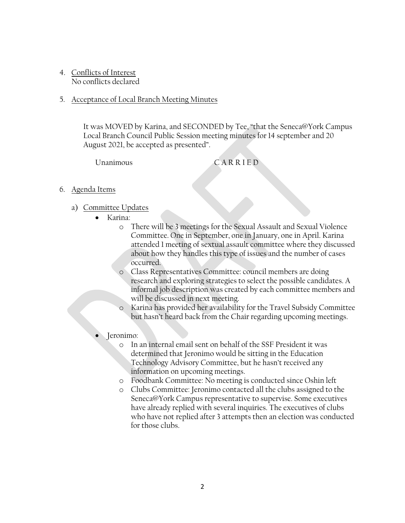4. Conflicts of Interest No conflicts declared

## 5. Acceptance of Local Branch Meeting Minutes

It was MOVED by Karina, and SECONDED by Tee, "that the Seneca@York Campus Local Branch Council Public Session meeting minutes for 14 september and 20 August 2021, be accepted as presented".

Unanimous C A R R I E D

## 6. Agenda Items

- a) Committee Updates
	- Karina:
		- o There will be 3 meetings for the Sexual Assault and Sexual Violence Committee. One in September, one in January, one in April. Karina attended 1 meeting of sextual assault committee where they discussed about how they handles this type of issues and the number of cases occurred.
		- o Class Representatives Committee: council members are doing research and exploring strategies to select the possible candidates. A informal job description was created by each committee members and will be discussed in next meeting.
		- Karina has provided her availability for the Travel Subsidy Committee but hasn't heard back from the Chair regarding upcoming meetings.
	- Jeronimo:
		- o In an internal email sent on behalf of the SSF President it was determined that Jeronimo would be sitting in the Education Technology Advisory Committee, but he hasn't received any information on upcoming meetings.
		- o Foodbank Committee: No meeting is conducted since Oshin left
		- o Clubs Committee: Jeronimo contacted all the clubs assigned to the Seneca@York Campus representative to supervise. Some executives have already replied with several inquiries. The executives of clubs who have not replied after 3 attempts then an election was conducted for those clubs.